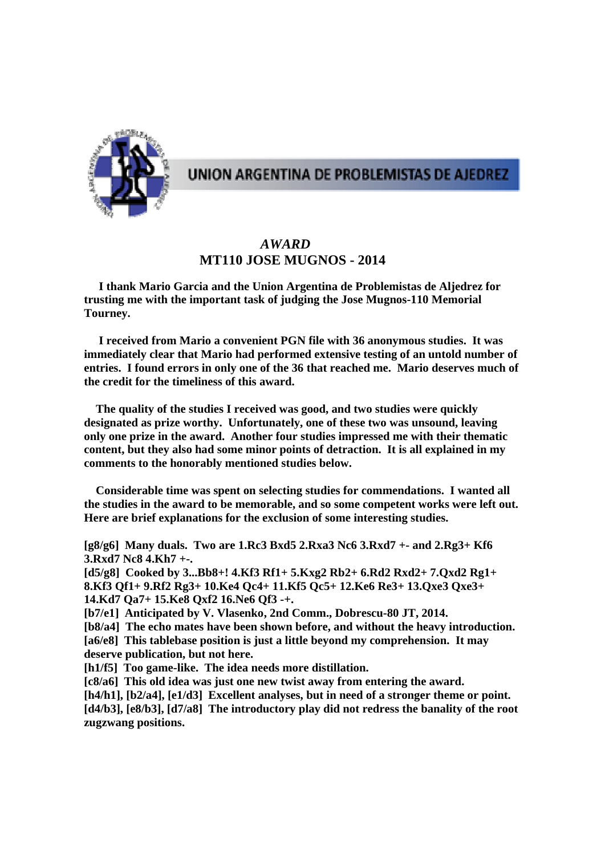

# UNION ARGENTINA DE PROBLEMISTAS DE AJEDREZ

# *AWARD*   **MT110 JOSE MUGNOS - 2014**

 **I thank Mario Garcia and the Union Argentina de Problemistas de Aljedrez for trusting me with the important task of judging the Jose Mugnos-110 Memorial Tourney.** 

 **I received from Mario a convenient PGN file with 36 anonymous studies. It was immediately clear that Mario had performed extensive testing of an untold number of entries. I found errors in only one of the 36 that reached me. Mario deserves much of the credit for the timeliness of this award.** 

 **The quality of the studies I received was good, and two studies were quickly designated as prize worthy. Unfortunately, one of these two was unsound, leaving only one prize in the award. Another four studies impressed me with their thematic content, but they also had some minor points of detraction. It is all explained in my comments to the honorably mentioned studies below.** 

 **Considerable time was spent on selecting studies for commendations. I wanted all the studies in the award to be memorable, and so some competent works were left out. Here are brief explanations for the exclusion of some interesting studies.** 

**[g8/g6] Many duals. Two are 1.Rc3 Bxd5 2.Rxa3 Nc6 3.Rxd7 +- and 2.Rg3+ Kf6 3.Rxd7 Nc8 4.Kh7 +-.** 

**[d5/g8] Cooked by 3...Bb8+! 4.Kf3 Rf1+ 5.Kxg2 Rb2+ 6.Rd2 Rxd2+ 7.Qxd2 Rg1+ 8.Kf3 Qf1+ 9.Rf2 Rg3+ 10.Ke4 Qc4+ 11.Kf5 Qc5+ 12.Ke6 Re3+ 13.Qxe3 Qxe3+ 14.Kd7 Qa7+ 15.Ke8 Qxf2 16.Ne6 Qf3 -+.** 

**[b7/e1] Anticipated by V. Vlasenko, 2nd Comm., Dobrescu-80 JT, 2014.** 

**[b8/a4] The echo mates have been shown before, and without the heavy introduction. [a6/e8] This tablebase position is just a little beyond my comprehension. It may deserve publication, but not here.** 

**[h1/f5] Too game-like. The idea needs more distillation.** 

**[c8/a6] This old idea was just one new twist away from entering the award.** 

**[h4/h1], [b2/a4], [e1/d3] Excellent analyses, but in need of a stronger theme or point. [d4/b3], [e8/b3], [d7/a8] The introductory play did not redress the banality of the root zugzwang positions.**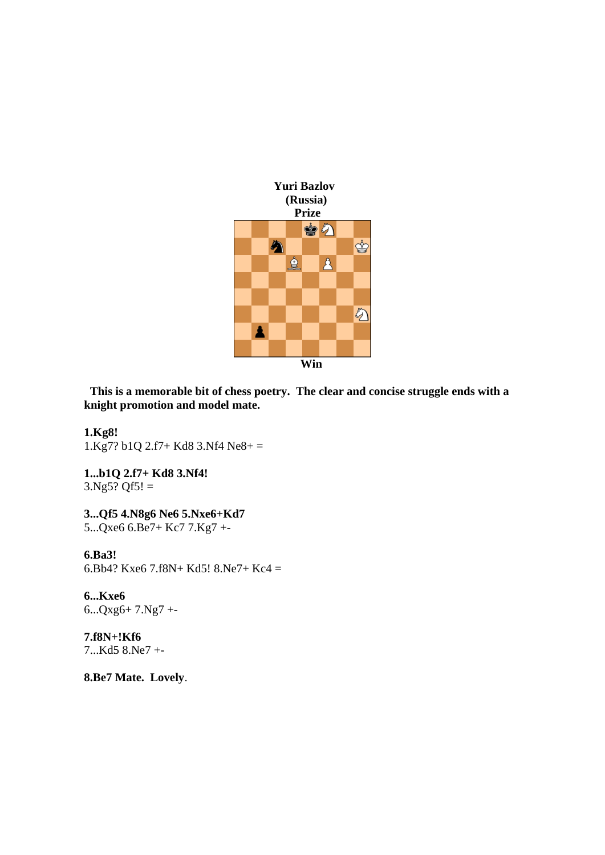

 **This is a memorable bit of chess poetry. The clear and concise struggle ends with a knight promotion and model mate.** 

**1.Kg8!** 

1.Kg7? b1Q 2.f7+ Kd8 3.Nf4 Ne8+ =

**1...b1Q 2.f7+ Kd8 3.Nf4!**   $3.$ Ng5? Qf5! =

**3...Qf5 4.N8g6 Ne6 5.Nxe6+Kd7**  5...Qxe6 6.Be7+ Kc7 7.Kg7 +-

## **6.Ba3!**

6.Bb4? Kxe6 7.f8N+ Kd5! 8.Ne7+ Kc4 =

**6...Kxe6**  6...Qxg6+ 7.Ng7 +-

**7.f8N+!Kf6**  7...Kd5 8.Ne7 +-

**8.Be7 Mate. Lovely**.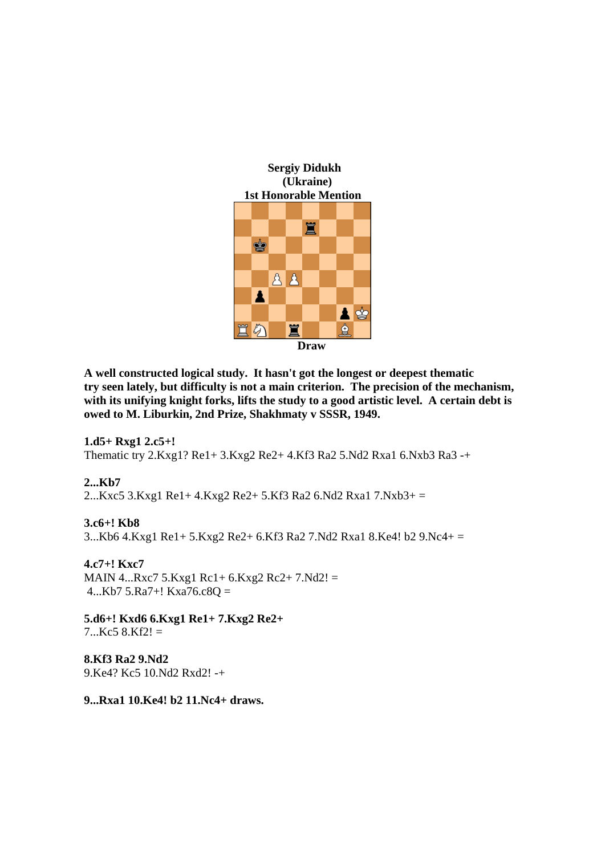

**A well constructed logical study. It hasn't got the longest or deepest thematic try seen lately, but difficulty is not a main criterion. The precision of the mechanism, with its unifying knight forks, lifts the study to a good artistic level. A certain debt is owed to M. Liburkin, 2nd Prize, Shakhmaty v SSSR, 1949.** 

**1.d5+ Rxg1 2.c5+!**  Thematic try 2.Kxg1? Re1+ 3.Kxg2 Re2+ 4.Kf3 Ra2 5.Nd2 Rxa1 6.Nxb3 Ra3 -+

**2...Kb7**  2...Kxc5 3.Kxg1 Re1+ 4.Kxg2 Re2+ 5.Kf3 Ra2 6.Nd2 Rxa1 7.Nxb3+ =

**3.c6+! Kb8**  3...Kb6 4.Kxg1 Re1+ 5.Kxg2 Re2+ 6.Kf3 Ra2 7.Nd2 Rxa1 8.Ke4! b2 9.Nc4+ =

**4.c7+! Kxc7**  MAIN 4...Rxc7 5.Kxg1 Rc1+ 6.Kxg2 Rc2+ 7.Nd2! = 4...Kb7 5.Ra7+! Kxa76.c8Q =

**5.d6+! Kxd6 6.Kxg1 Re1+ 7.Kxg2 Re2+**   $7. Kc5 8.Kf2! =$ 

**8.Kf3 Ra2 9.Nd2**  9.Ke4? Kc5 10.Nd2 Rxd2! -+

**9...Rxa1 10.Ke4! b2 11.Nc4+ draws.**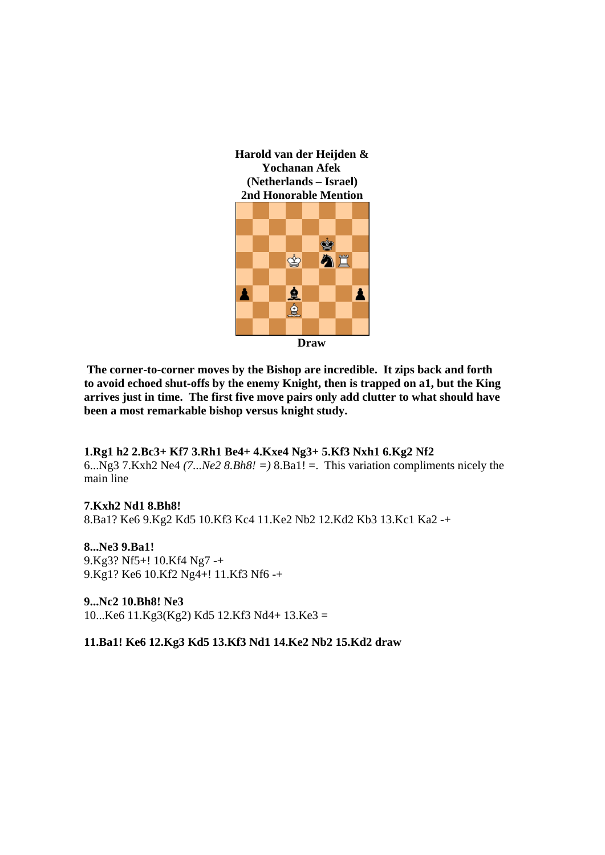



 **The corner-to-corner moves by the Bishop are incredible. It zips back and forth to avoid echoed shut-offs by the enemy Knight, then is trapped on a1, but the King arrives just in time. The first five move pairs only add clutter to what should have been a most remarkable bishop versus knight study.** 

## **1.Rg1 h2 2.Bc3+ Kf7 3.Rh1 Be4+ 4.Kxe4 Ng3+ 5.Kf3 Nxh1 6.Kg2 Nf2**

6...Ng3 7.Kxh2 Ne4 *(7...Ne2 8.Bh8! =)* 8.Ba1! =. This variation compliments nicely the main line

## **7.Kxh2 Nd1 8.Bh8!**

8.Ba1? Ke6 9.Kg2 Kd5 10.Kf3 Kc4 11.Ke2 Nb2 12.Kd2 Kb3 13.Kc1 Ka2 -+

**8...Ne3 9.Ba1!**  9.Kg3? Nf5+! 10.Kf4 Ng7 -+ 9.Kg1? Ke6 10.Kf2 Ng4+! 11.Kf3 Nf6 -+

**9...Nc2 10.Bh8! Ne3**  10...Ke6 11.Kg3(Kg2) Kd5 12.Kf3 Nd4+ 13.Ke3 =

## **11.Ba1! Ke6 12.Kg3 Kd5 13.Kf3 Nd1 14.Ke2 Nb2 15.Kd2 draw**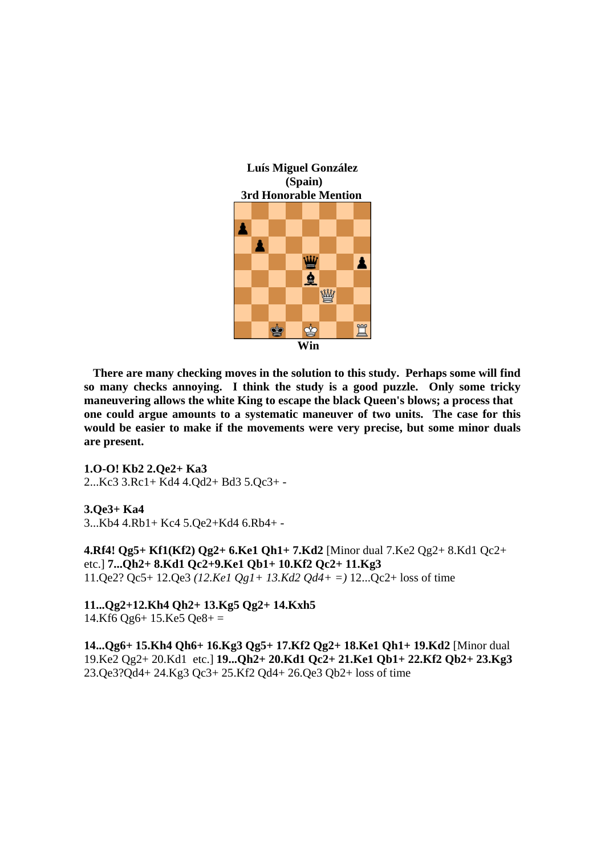

 **There are many checking moves in the solution to this study. Perhaps some will find so many checks annoying. I think the study is a good puzzle. Only some tricky maneuvering allows the white King to escape the black Queen's blows; a process that one could argue amounts to a systematic maneuver of two units. The case for this would be easier to make if the movements were very precise, but some minor duals are present.** 

**1.O-O! Kb2 2.Qe2+ Ka3**  2...Kc3 3.Rc1+ Kd4 4.Qd2+ Bd3 5.Qc3+ -

**3.Qe3+ Ka4** 

3...Kb4 4.Rb1+ Kc4 5.Qe2+Kd4 6.Rb4+ -

**4.Rf4! Qg5+ Kf1(Kf2) Qg2+ 6.Ke1 Qh1+ 7.Kd2** [Minor dual 7.Ke2 Qg2+ 8.Kd1 Qc2+ etc.] **7...Qh2+ 8.Kd1 Qc2+9.Ke1 Qb1+ 10.Kf2 Qc2+ 11.Kg3**  11.Qe2? Qc5+ 12.Qe3 *(12.Ke1 Qg1+ 13.Kd2 Qd4+ =)* 12...Qc2+ loss of time

**11...Qg2+12.Kh4 Qh2+ 13.Kg5 Qg2+ 14.Kxh5**   $14.Kf6 Qg6+ 15.Ke5 Qe8+ =$ 

**14...Qg6+ 15.Kh4 Qh6+ 16.Kg3 Qg5+ 17.Kf2 Qg2+ 18.Ke1 Qh1+ 19.Kd2** [Minor dual 19.Ke2 Qg2+ 20.Kd1 etc.] **19...Qh2+ 20.Kd1 Qc2+ 21.Ke1 Qb1+ 22.Kf2 Qb2+ 23.Kg3**  23.Qe3?Qd4+ 24.Kg3 Qc3+ 25.Kf2 Qd4+ 26.Qe3 Qb2+ loss of time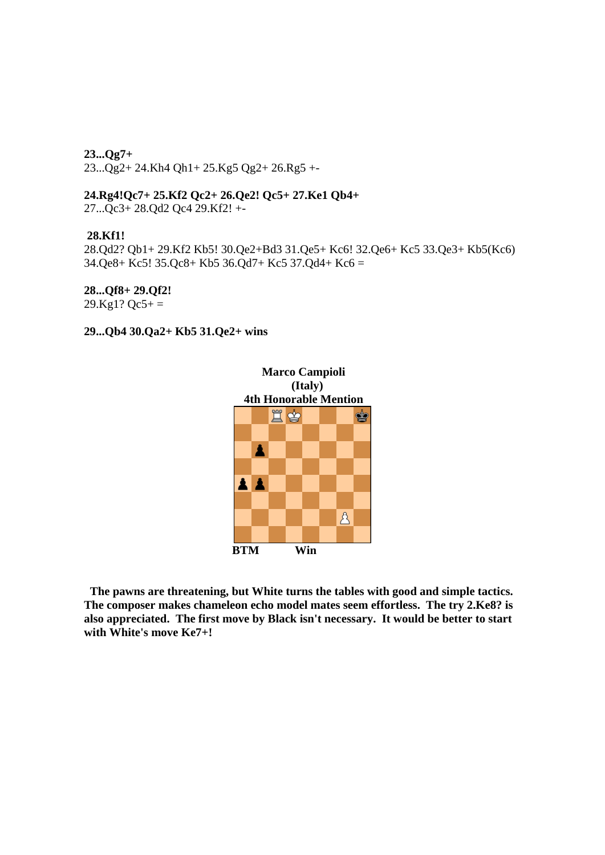**23...Qg7+**  23...Qg2+ 24.Kh4 Qh1+ 25.Kg5 Qg2+ 26.Rg5 +-

**24.Rg4!Qc7+ 25.Kf2 Qc2+ 26.Qe2! Qc5+ 27.Ke1 Qb4+**  27...Qc3+ 28.Qd2 Qc4 29.Kf2! +-

#### **28.Kf1!**

28.Qd2? Qb1+ 29.Kf2 Kb5! 30.Qe2+Bd3 31.Qe5+ Kc6! 32.Qe6+ Kc5 33.Qe3+ Kb5(Kc6) 34.Qe8+ Kc5! 35.Qc8+ Kb5 36.Qd7+ Kc5 37.Qd4+ Kc6 =

## **28...Qf8+ 29.Qf2!**

 $29.Kg1?$  Qc5+ =

## **29...Qb4 30.Qa2+ Kb5 31.Qe2+ wins**



 **The pawns are threatening, but White turns the tables with good and simple tactics. The composer makes chameleon echo model mates seem effortless. The try 2.Ke8? is also appreciated. The first move by Black isn't necessary. It would be better to start with White's move Ke7+!**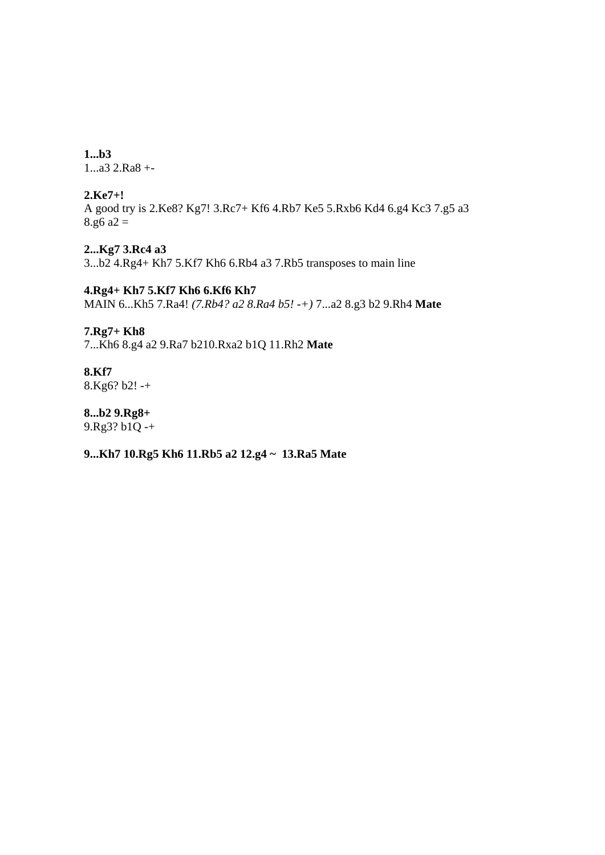**1...b3**  1...a3 2.Ra8 +-

## **2.Ke7+!**

A good try is 2.Ke8? Kg7! 3.Rc7+ Kf6 4.Rb7 Ke5 5.Rxb6 Kd4 6.g4 Kc3 7.g5 a3 8.g6  $a2 =$ 

**2...Kg7 3.Rc4 a3**  3...b2 4.Rg4+ Kh7 5.Kf7 Kh6 6.Rb4 a3 7.Rb5 transposes to main line

**4.Rg4+ Kh7 5.Kf7 Kh6 6.Kf6 Kh7**  MAIN 6...Kh5 7.Ra4! *(7.Rb4? a2 8.Ra4 b5! -+)* 7...a2 8.g3 b2 9.Rh4 **Mate**

## **7.Rg7+ Kh8**

7...Kh6 8.g4 a2 9.Ra7 b210.Rxa2 b1Q 11.Rh2 **Mate**

# **8.Kf7**

8.Kg6? b2! -+

**8...b2 9.Rg8+**  9.Rg3? b1Q -+

## **9...Kh7 10.Rg5 Kh6 11.Rb5 a2 12.g4 ~ 13.Ra5 Mate**